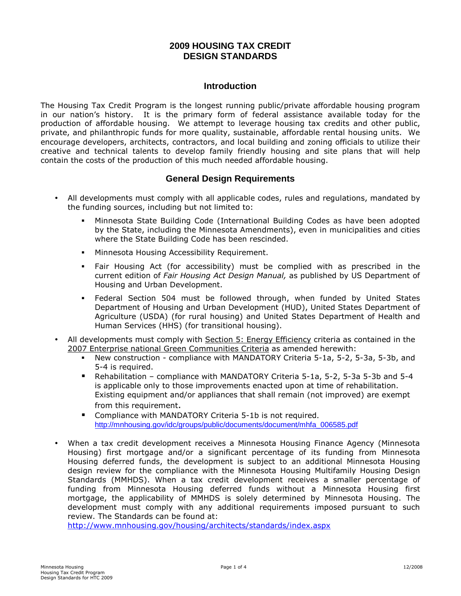# **2009 HOUSING TAX CREDIT DESIGN STANDARDS**

## **Introduction**

The Housing Tax Credit Program is the longest running public/private affordable housing program in our nation's history. It is the primary form of federal assistance available today for the production of affordable housing. We attempt to leverage housing tax credits and other public, private, and philanthropic funds for more quality, sustainable, affordable rental housing units. We encourage developers, architects, contractors, and local building and zoning officials to utilize their creative and technical talents to develop family friendly housing and site plans that will help contain the costs of the production of this much needed affordable housing.

## **General Design Requirements**

- All developments must comply with all applicable codes, rules and regulations, mandated by the funding sources, including but not limited to:
	- Minnesota State Building Code (International Building Codes as have been adopted by the State, including the Minnesota Amendments), even in municipalities and cities where the State Building Code has been rescinded.
	- **Minnesota Housing Accessibility Requirement.**
	- Fair Housing Act (for accessibility) must be complied with as prescribed in the current edition of Fair Housing Act Design Manual, as published by US Department of Housing and Urban Development.
	- Federal Section 504 must be followed through, when funded by United States Department of Housing and Urban Development (HUD), United States Department of Agriculture (USDA) (for rural housing) and United States Department of Health and Human Services (HHS) (for transitional housing).
- All developments must comply with Section 5: Energy Efficiency criteria as contained in the 2007 Enterprise national Green Communities Criteria as amended herewith:
	- New construction compliance with MANDATORY Criteria 5-1a, 5-2, 5-3a, 5-3b, and 5-4 is required.
	- Rehabilitation compliance with MANDATORY Criteria 5-1a, 5-2, 5-3a 5-3b and 5-4 is applicable only to those improvements enacted upon at time of rehabilitation. Existing equipment and/or appliances that shall remain (not improved) are exempt from this requirement.
	- **Compliance with MANDATORY Criteria 5-1b is not required.** [http://mnhousing.gov/idc/groups/public/documents/document/mhfa\\_006585.pd](http://mnhousing.gov/idc/groups/public/documents/document/mhfa_006585.pdf)f
- When a tax credit development receives a Minnesota Housing Finance Agency (Minnesota Housing) first mortgage and/or a significant percentage of its funding from Minnesota Housing deferred funds, the development is subject to an additional Minnesota Housing design review for the compliance with the Minnesota Housing Multifamily Housing Design Standards (MMHDS). When a tax credit development receives a smaller percentage of funding from Minnesota Housing deferred funds without a Minnesota Housing first mortgage, the applicability of MMHDS is solely determined by Minnesota Housing. The development must comply with any additional requirements imposed pursuant to such review. The Standards can be found at:

[http://www.mnhousing.gov/housing/architects/standards/index.asp](http://www.mnhousing.gov/housing/architects/standards/index.aspx)x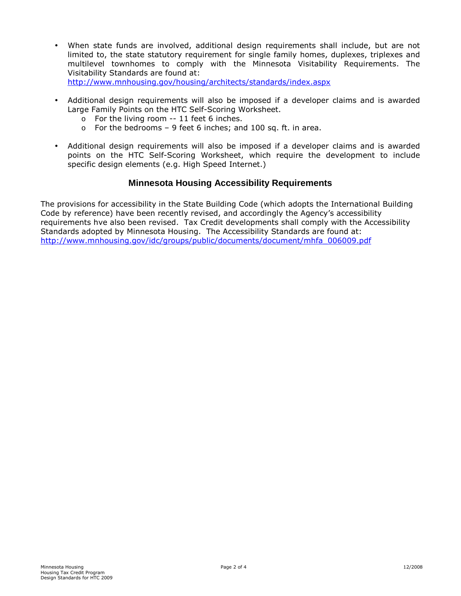- When state funds are involved, additional design requirements shall include, but are not limited to, the state statutory requirement for single family homes, duplexes, triplexes and multilevel townhomes to comply with the Minnesota Visitability Requirements. The Visitability Standards are found at: [http://www.mnhousing.gov/housing/architects/standards/index.asp](http://www.mnhousing.gov/housing/architects/standards/index.aspx)x
- Additional design requirements will also be imposed if a developer claims and is awarded Large Family Points on the HTC Self-Scoring Worksheet.
	- o For the living room -- 11 feet 6 inches.
	- $\circ$  For the bedrooms 9 feet 6 inches; and 100 sq. ft. in area.
- Additional design requirements will also be imposed if a developer claims and is awarded points on the HTC Self-Scoring Worksheet, which require the development to include specific design elements (e.g. High Speed Internet.)

# **Minnesota Housing Accessibility Requirements**

The provisions for accessibility in the State Building Code (which adopts the International Building Code by reference) have been recently revised, and accordingly the Agency's accessibility requirements hve also been revised. Tax Credit developments shall comply with the Accessibility Standards adopted by Minnesota Housing. The Accessibility Standards are found at: [http://www.mnhousing.gov/idc/groups/public/documents/document/mhfa\\_006009.pd](http://www.mnhousing.gov/idc/groups/public/documents/document/mhfa_006009.pdf)f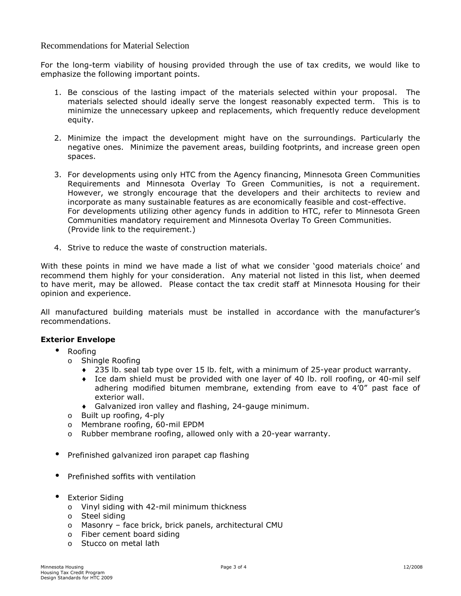### Recommendations for Material Selection

For the long-term viability of housing provided through the use of tax credits, we would like to emphasize the following important points.

- 1. Be conscious of the lasting impact of the materials selected within your proposal. The materials selected should ideally serve the longest reasonably expected term. This is to minimize the unnecessary upkeep and replacements, which frequently reduce development equity.
- 2. Minimize the impact the development might have on the surroundings. Particularly the negative ones. Minimize the pavement areas, building footprints, and increase green open spaces.
- 3. For developments using only HTC from the Agency financing, Minnesota Green Communities Requirements and Minnesota Overlay To Green Communities, is not a requirement. However, we strongly encourage that the developers and their architects to review and incorporate as many sustainable features as are economically feasible and cost-effective. For developments utilizing other agency funds in addition to HTC, refer to Minnesota Green Communities mandatory requirement and Minnesota Overlay To Green Communities. (Provide link to the requirement.)
- 4. Strive to reduce the waste of construction materials.

With these points in mind we have made a list of what we consider 'good materials choice' and recommend them highly for your consideration. Any material not listed in this list, when deemed to have merit, may be allowed. Please contact the tax credit staff at Minnesota Housing for their opinion and experience.

All manufactured building materials must be installed in accordance with the manufacturer's recommendations.

### Exterior Envelope

- Roofing
	- o Shingle Roofing
		- $\bullet$  235 lb. seal tab type over 15 lb. felt, with a minimum of 25-year product warranty.
		- ♦ Ice dam shield must be provided with one layer of 40 lb. roll roofing, or 40-mil self adhering modified bitumen membrane, extending from eave to 4'0" past face of exterior wall.
		- Galvanized iron valley and flashing, 24-gauge minimum.
	- o Built up roofing, 4-ply
	- o Membrane roofing, 60-mil EPDM
	- o Rubber membrane roofing, allowed only with a 20-year warranty.
- Prefinished galvanized iron parapet cap flashing
- Prefinished soffits with ventilation
- Exterior Siding
	- o Vinyl siding with 42-mil minimum thickness
	- o Steel siding
	- o Masonry face brick, brick panels, architectural CMU
	- o Fiber cement board siding
	- o Stucco on metal lath